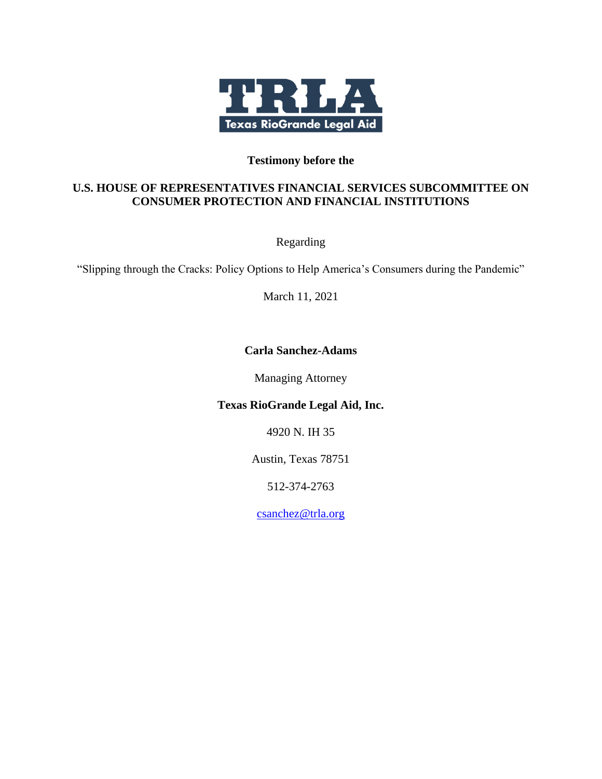

#### **Testimony before the**

#### **U.S. HOUSE OF REPRESENTATIVES FINANCIAL SERVICES SUBCOMMITTEE ON CONSUMER PROTECTION AND FINANCIAL INSTITUTIONS**

Regarding

"Slipping through the Cracks: Policy Options to Help America's Consumers during the Pandemic"

March 11, 2021

#### **Carla Sanchez-Adams**

Managing Attorney

#### **Texas RioGrande Legal Aid, Inc.**

4920 N. IH 35

Austin, Texas 78751

512-374-2763

[csanch](mailto:cwu@nclc.org)ez@trla.org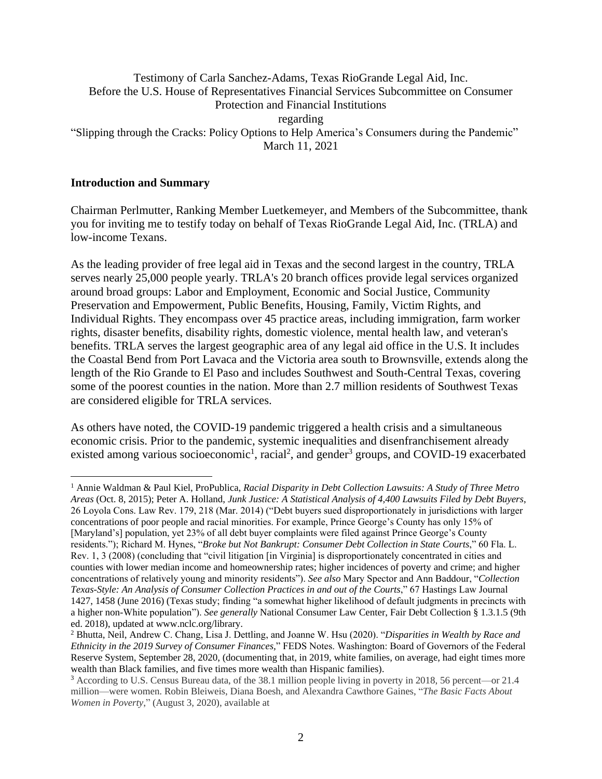#### Testimony of Carla Sanchez-Adams, Texas RioGrande Legal Aid, Inc. Before the U.S. House of Representatives Financial Services Subcommittee on Consumer Protection and Financial Institutions regarding "Slipping through the Cracks: Policy Options to Help America's Consumers during the Pandemic" March 11, 2021

#### **Introduction and Summary**

Chairman Perlmutter, Ranking Member Luetkemeyer, and Members of the Subcommittee, thank you for inviting me to testify today on behalf of Texas RioGrande Legal Aid, Inc. (TRLA) and low-income Texans.

As the leading provider of free legal aid in Texas and the second largest in the country, TRLA serves nearly 25,000 people yearly. TRLA's 20 branch offices provide legal services organized around broad groups: Labor and Employment, Economic and Social Justice, Community Preservation and Empowerment, Public Benefits, Housing, Family, Victim Rights, and Individual Rights. They encompass over 45 practice areas, including immigration, farm worker rights, disaster benefits, disability rights, domestic violence, mental health law, and veteran's benefits. TRLA serves the largest geographic area of any legal aid office in the U.S. It includes the Coastal Bend from Port Lavaca and the Victoria area south to Brownsville, extends along the length of the Rio Grande to El Paso and includes Southwest and South-Central Texas, covering some of the poorest counties in the nation. More than 2.7 million residents of Southwest Texas are considered eligible for TRLA services.

As others have noted, the COVID-19 pandemic triggered a health crisis and a simultaneous economic crisis. Prior to the pandemic, systemic inequalities and disenfranchisement already existed among various socioeconomic<sup>1</sup>, racial<sup>2</sup>, and gender<sup>3</sup> groups, and COVID-19 exacerbated

<sup>1</sup> Annie Waldman & Paul Kiel, ProPublica, *Racial Disparity in Debt Collection Lawsuits: A Study of Three Metro Areas* (Oct. 8, 2015); Peter A. Holland, *Junk Justice: A Statistical Analysis of 4,400 Lawsuits Filed by Debt Buyers*, 26 Loyola Cons. Law Rev. 179, 218 (Mar. 2014) ("Debt buyers sued disproportionately in jurisdictions with larger concentrations of poor people and racial minorities. For example, Prince George's County has only 15% of [Maryland's] population, yet 23% of all debt buyer complaints were filed against Prince George's County residents."); Richard M. Hynes, "*Broke but Not Bankrupt: Consumer Debt Collection in State Courts*," 60 Fla. L. Rev. 1, 3 (2008) (concluding that "civil litigation [in Virginia] is disproportionately concentrated in cities and counties with lower median income and homeownership rates; higher incidences of poverty and crime; and higher concentrations of relatively young and minority residents"). *See also* Mary Spector and Ann Baddour, "*Collection Texas-Style: An Analysis of Consumer Collection Practices in and out of the Courts*," 67 Hastings Law Journal 1427, 1458 (June 2016) (Texas study; finding "a somewhat higher likelihood of default judgments in precincts with a higher non-White population"). *See generally* National Consumer Law Center, Fair Debt Collection § 1.3.1.5 (9th ed. 2018), updated at www.nclc.org/library.

<sup>2</sup> Bhutta, Neil, Andrew C. Chang, Lisa J. Dettling, and Joanne W. Hsu (2020). "*Disparities in Wealth by Race and Ethnicity in the 2019 Survey of Consumer Finances,*" FEDS Notes. Washington: Board of Governors of the Federal Reserve System, September 28, 2020, (documenting that, in 2019, white families, on average, had eight times more wealth than Black families, and five times more wealth than Hispanic families).

<sup>3</sup> According to U.S. Census Bureau data, of the 38.1 million people living in poverty in 2018, 56 percent—or 21.4 million—were women. Robin Bleiweis, Diana Boesh, and Alexandra Cawthore Gaines, "*The Basic Facts About Women in Poverty*," (August 3, 2020), available at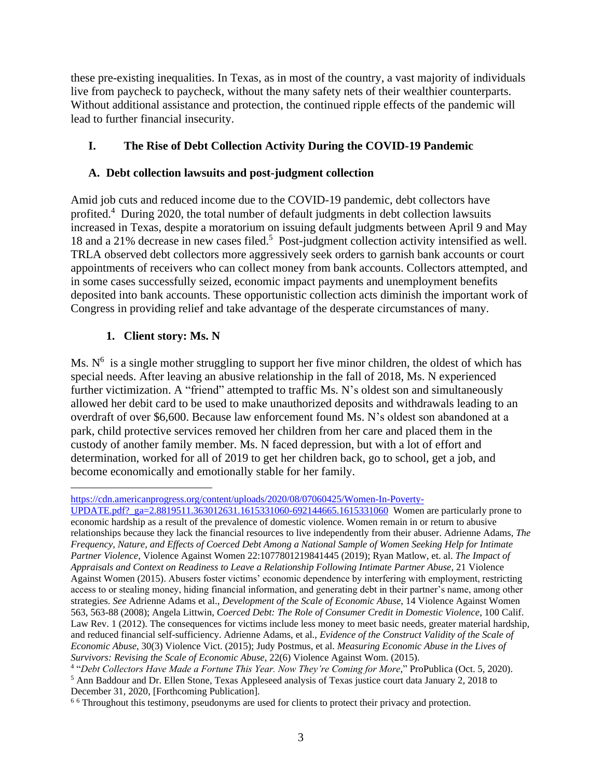these pre-existing inequalities. In Texas, as in most of the country, a vast majority of individuals live from paycheck to paycheck, without the many safety nets of their wealthier counterparts. Without additional assistance and protection, the continued ripple effects of the pandemic will lead to further financial insecurity.

# **I. The Rise of Debt Collection Activity During the COVID-19 Pandemic**

#### **A. Debt collection lawsuits and post-judgment collection**

Amid job cuts and reduced income due to the COVID-19 pandemic, debt collectors have profited. <sup>4</sup> During 2020, the total number of default judgments in debt collection lawsuits increased in Texas, despite a moratorium on issuing default judgments between April 9 and May 18 and a 21% decrease in new cases filed.<sup>5</sup> Post-judgment collection activity intensified as well. TRLA observed debt collectors more aggressively seek orders to garnish bank accounts or court appointments of receivers who can collect money from bank accounts. Collectors attempted, and in some cases successfully seized, economic impact payments and unemployment benefits deposited into bank accounts. These opportunistic collection acts diminish the important work of Congress in providing relief and take advantage of the desperate circumstances of many.

#### **1. Client story: Ms. N**

Ms.  $N<sup>6</sup>$  is a single mother struggling to support her five minor children, the oldest of which has special needs. After leaving an abusive relationship in the fall of 2018, Ms. N experienced further victimization. A "friend" attempted to traffic Ms. N's oldest son and simultaneously allowed her debit card to be used to make unauthorized deposits and withdrawals leading to an overdraft of over \$6,600. Because law enforcement found Ms. N's oldest son abandoned at a park, child protective services removed her children from her care and placed them in the custody of another family member. Ms. N faced depression, but with a lot of effort and determination, worked for all of 2019 to get her children back, go to school, get a job, and become economically and emotionally stable for her family.

[https://cdn.americanprogress.org/content/uploads/2020/08/07060425/Women-In-Poverty-](https://cdn.americanprogress.org/content/uploads/2020/08/07060425/Women-In-Poverty-UPDATE.pdf?_ga=2.8819511.363012631.1615331060-692144665.1615331060)

[UPDATE.pdf?\\_ga=2.8819511.363012631.1615331060-692144665.1615331060](https://cdn.americanprogress.org/content/uploads/2020/08/07060425/Women-In-Poverty-UPDATE.pdf?_ga=2.8819511.363012631.1615331060-692144665.1615331060) Women are particularly prone to economic hardship as a result of the prevalence of domestic violence. Women remain in or return to abusive relationships because they lack the financial resources to live independently from their abuser. Adrienne Adams, *The Frequency, Nature, and Effects of Coerced Debt Among a National Sample of Women Seeking Help for Intimate Partner Violence*, Violence Against Women 22:1077801219841445 (2019); Ryan Matlow, et. al. *The Impact of Appraisals and Context on Readiness to Leave a Relationship Following Intimate Partner Abuse*, 21 Violence Against Women (2015). Abusers foster victims' economic dependence by interfering with employment, restricting access to or stealing money, hiding financial information, and generating debt in their partner's name, among other strategies. *See* Adrienne Adams et al., *Development of the Scale of Economic Abuse*, 14 Violence Against Women 563, 563-88 (2008); Angela Littwin, *Coerced Debt: The Role of Consumer Credit in Domestic Violence*, 100 Calif. Law Rev. 1 (2012). The consequences for victims include less money to meet basic needs, greater material hardship, and reduced financial self-sufficiency. Adrienne Adams, et al., *Evidence of the Construct Validity of the Scale of Economic Abuse*, 30(3) Violence Vict. (2015); Judy Postmus, et al. *Measuring Economic Abuse in the Lives of Survivors: Revising the Scale of Economic Abuse*, 22(6) Violence Against Wom. (2015).

<sup>4</sup> "*Debt Collectors Have Made a Fortune This Year. Now They're Coming for More*," ProPublica (Oct. 5, 2020). <sup>5</sup> Ann Baddour and Dr. Ellen Stone, Texas Appleseed analysis of Texas justice court data January 2, 2018 to December 31, 2020, [Forthcoming Publication].

<sup>&</sup>lt;sup>66</sup> Throughout this testimony, pseudonyms are used for clients to protect their privacy and protection.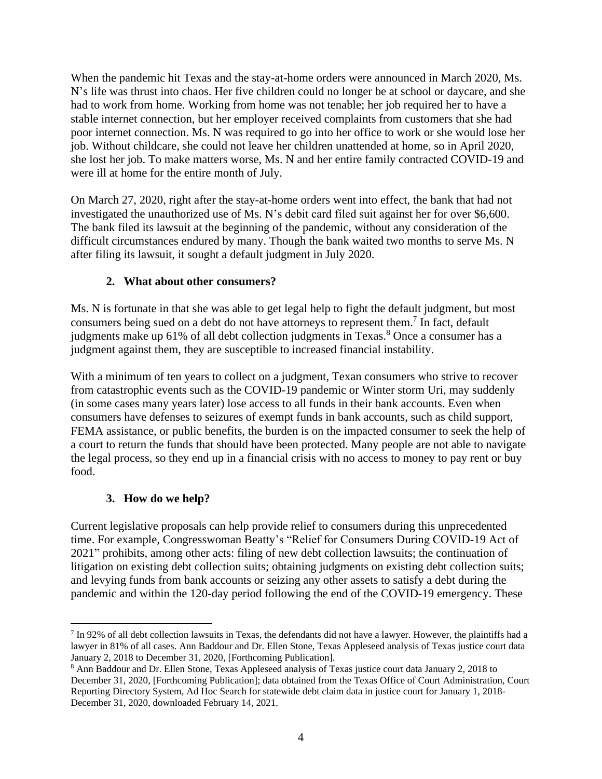When the pandemic hit Texas and the stay-at-home orders were announced in March 2020, Ms. N's life was thrust into chaos. Her five children could no longer be at school or daycare, and she had to work from home. Working from home was not tenable; her job required her to have a stable internet connection, but her employer received complaints from customers that she had poor internet connection. Ms. N was required to go into her office to work or she would lose her job. Without childcare, she could not leave her children unattended at home, so in April 2020, she lost her job. To make matters worse, Ms. N and her entire family contracted COVID-19 and were ill at home for the entire month of July.

On March 27, 2020, right after the stay-at-home orders went into effect, the bank that had not investigated the unauthorized use of Ms. N's debit card filed suit against her for over \$6,600. The bank filed its lawsuit at the beginning of the pandemic, without any consideration of the difficult circumstances endured by many. Though the bank waited two months to serve Ms. N after filing its lawsuit, it sought a default judgment in July 2020.

# **2. What about other consumers?**

Ms. N is fortunate in that she was able to get legal help to fight the default judgment, but most consumers being sued on a debt do not have attorneys to represent them.<sup>7</sup> In fact, default judgments make up 61% of all debt collection judgments in Texas.<sup>8</sup> Once a consumer has a judgment against them, they are susceptible to increased financial instability.

With a minimum of ten years to collect on a judgment, Texan consumers who strive to recover from catastrophic events such as the COVID-19 pandemic or Winter storm Uri, may suddenly (in some cases many years later) lose access to all funds in their bank accounts. Even when consumers have defenses to seizures of exempt funds in bank accounts, such as child support, FEMA assistance, or public benefits, the burden is on the impacted consumer to seek the help of a court to return the funds that should have been protected. Many people are not able to navigate the legal process, so they end up in a financial crisis with no access to money to pay rent or buy food.

#### **3. How do we help?**

Current legislative proposals can help provide relief to consumers during this unprecedented time. For example, Congresswoman Beatty's "Relief for Consumers During COVID-19 Act of 2021" prohibits, among other acts: filing of new debt collection lawsuits; the continuation of litigation on existing debt collection suits; obtaining judgments on existing debt collection suits; and levying funds from bank accounts or seizing any other assets to satisfy a debt during the pandemic and within the 120-day period following the end of the COVID-19 emergency. These

 $<sup>7</sup>$  In 92% of all debt collection lawsuits in Texas, the defendants did not have a lawyer. However, the plaintiffs had a</sup> lawyer in 81% of all cases. Ann Baddour and Dr. Ellen Stone, Texas Appleseed analysis of Texas justice court data January 2, 2018 to December 31, 2020, [Forthcoming Publication].

<sup>8</sup> Ann Baddour and Dr. Ellen Stone, Texas Appleseed analysis of Texas justice court data January 2, 2018 to December 31, 2020, [Forthcoming Publication]; data obtained from the Texas Office of Court Administration, Court Reporting Directory System, Ad Hoc Search for statewide debt claim data in justice court for January 1, 2018- December 31, 2020, downloaded February 14, 2021.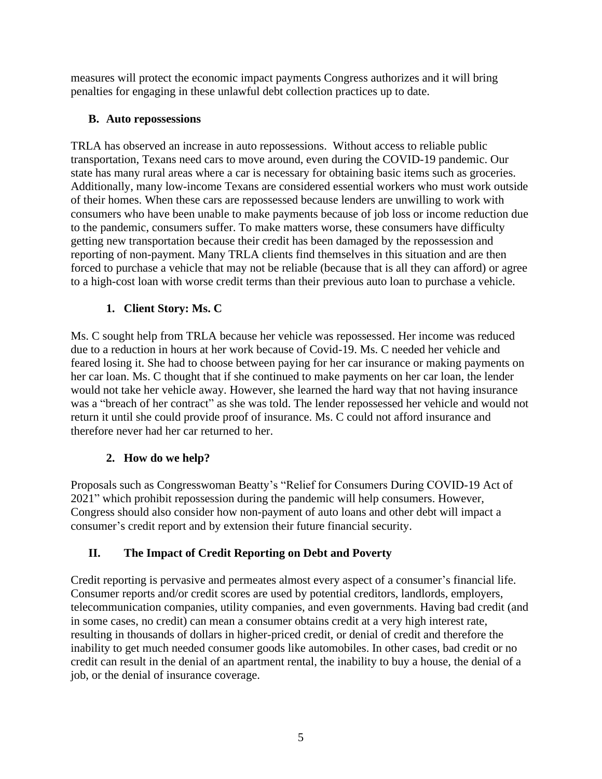measures will protect the economic impact payments Congress authorizes and it will bring penalties for engaging in these unlawful debt collection practices up to date.

# **B. Auto repossessions**

TRLA has observed an increase in auto repossessions. Without access to reliable public transportation, Texans need cars to move around, even during the COVID-19 pandemic. Our state has many rural areas where a car is necessary for obtaining basic items such as groceries. Additionally, many low-income Texans are considered essential workers who must work outside of their homes. When these cars are repossessed because lenders are unwilling to work with consumers who have been unable to make payments because of job loss or income reduction due to the pandemic, consumers suffer. To make matters worse, these consumers have difficulty getting new transportation because their credit has been damaged by the repossession and reporting of non-payment. Many TRLA clients find themselves in this situation and are then forced to purchase a vehicle that may not be reliable (because that is all they can afford) or agree to a high-cost loan with worse credit terms than their previous auto loan to purchase a vehicle.

# **1. Client Story: Ms. C**

Ms. C sought help from TRLA because her vehicle was repossessed. Her income was reduced due to a reduction in hours at her work because of Covid-19. Ms. C needed her vehicle and feared losing it. She had to choose between paying for her car insurance or making payments on her car loan. Ms. C thought that if she continued to make payments on her car loan, the lender would not take her vehicle away. However, she learned the hard way that not having insurance was a "breach of her contract" as she was told. The lender repossessed her vehicle and would not return it until she could provide proof of insurance. Ms. C could not afford insurance and therefore never had her car returned to her.

# **2. How do we help?**

Proposals such as Congresswoman Beatty's "Relief for Consumers During COVID-19 Act of 2021" which prohibit repossession during the pandemic will help consumers. However, Congress should also consider how non-payment of auto loans and other debt will impact a consumer's credit report and by extension their future financial security.

# **II. The Impact of Credit Reporting on Debt and Poverty**

Credit reporting is pervasive and permeates almost every aspect of a consumer's financial life. Consumer reports and/or credit scores are used by potential creditors, landlords, employers, telecommunication companies, utility companies, and even governments. Having bad credit (and in some cases, no credit) can mean a consumer obtains credit at a very high interest rate, resulting in thousands of dollars in higher-priced credit, or denial of credit and therefore the inability to get much needed consumer goods like automobiles. In other cases, bad credit or no credit can result in the denial of an apartment rental, the inability to buy a house, the denial of a job, or the denial of insurance coverage.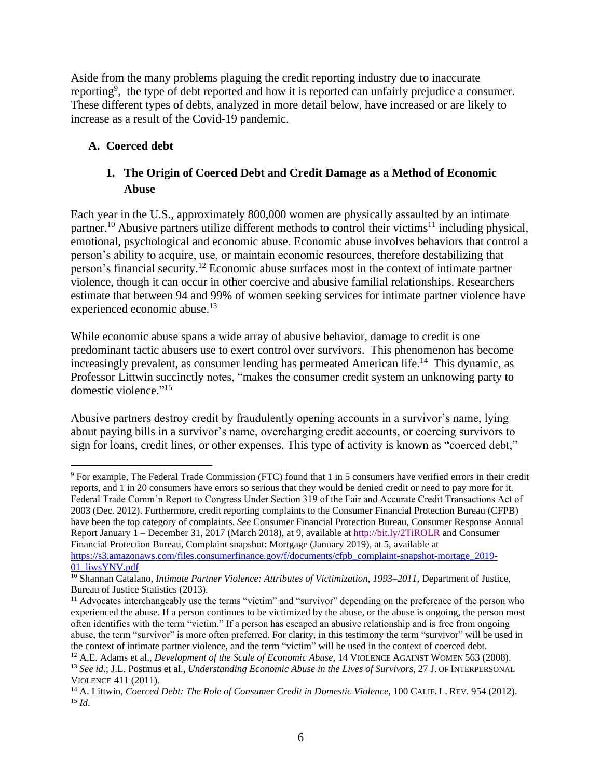Aside from the many problems plaguing the credit reporting industry due to inaccurate reporting<sup>9</sup>, the type of debt reported and how it is reported can unfairly prejudice a consumer. These different types of debts, analyzed in more detail below, have increased or are likely to increase as a result of the Covid-19 pandemic.

# **A. Coerced debt**

# **1. The Origin of Coerced Debt and Credit Damage as a Method of Economic Abuse**

Each year in the U.S., approximately 800,000 women are physically assaulted by an intimate partner.<sup>10</sup> Abusive partners utilize different methods to control their victims<sup>11</sup> including physical, emotional, psychological and economic abuse. Economic abuse involves behaviors that control a person's ability to acquire, use, or maintain economic resources, therefore destabilizing that person's financial security.<sup>12</sup> Economic abuse surfaces most in the context of intimate partner violence, though it can occur in other coercive and abusive familial relationships. Researchers estimate that between 94 and 99% of women seeking services for intimate partner violence have experienced economic abuse.<sup>13</sup>

While economic abuse spans a wide array of abusive behavior, damage to credit is one predominant tactic abusers use to exert control over survivors. This phenomenon has become increasingly prevalent, as consumer lending has permeated American life.<sup>14</sup> This dynamic, as Professor Littwin succinctly notes, "makes the consumer credit system an unknowing party to domestic violence." 15

Abusive partners destroy credit by fraudulently opening accounts in a survivor's name, lying about paying bills in a survivor's name, overcharging credit accounts, or coercing survivors to sign for loans, credit lines, or other expenses. This type of activity is known as "coerced debt,"

<sup>9</sup> For example, The Federal Trade Commission (FTC) found that 1 in 5 consumers have verified errors in their credit reports, and 1 in 20 consumers have errors so serious that they would be denied credit or need to pay more for it. Federal Trade Comm'n Report to Congress Under Section 319 of the Fair and Accurate Credit Transactions Act of 2003 (Dec. 2012). Furthermore, credit reporting complaints to the Consumer Financial Protection Bureau (CFPB) have been the top category of complaints. *See* Consumer Financial Protection Bureau, Consumer Response Annual Report January 1 – December 31, 2017 (March 2018), at 9, available a[t http://bit.ly/2TiROLR](http://bit.ly/2TiROLR) and Consumer Financial Protection Bureau, Complaint snapshot: Mortgage (January 2019), at 5, available at [https://s3.amazonaws.com/files.consumerfinance.gov/f/documents/cfpb\\_complaint-snapshot-mortage\\_2019-](https://s3.amazonaws.com/files.consumerfinance.gov/f/documents/cfpb_complaint-snapshot-mortage_2019-01_liwsYNV.pdf) [01\\_liwsYNV.pdf](https://s3.amazonaws.com/files.consumerfinance.gov/f/documents/cfpb_complaint-snapshot-mortage_2019-01_liwsYNV.pdf)

<sup>&</sup>lt;sup>10</sup> Shannan Catalano, *Intimate Partner Violence: Attributes of Victimization, 1993–2011*, Department of Justice, Bureau of Justice Statistics (2013).

<sup>&</sup>lt;sup>11</sup> Advocates interchangeably use the terms "victim" and "survivor" depending on the preference of the person who experienced the abuse. If a person continues to be victimized by the abuse, or the abuse is ongoing, the person most often identifies with the term "victim." If a person has escaped an abusive relationship and is free from ongoing abuse, the term "survivor" is more often preferred. For clarity, in this testimony the term "survivor" will be used in the context of intimate partner violence, and the term "victim" will be used in the context of coerced debt.

<sup>&</sup>lt;sup>12</sup> A.E. Adams et al., *Development of the Scale of Economic Abuse*, 14 VIOLENCE AGAINST WOMEN 563 (2008). <sup>13</sup> *See id*.; J.L. Postmus et al., *Understanding Economic Abuse in the Lives of Survivors*, 27 J. OF INTERPERSONAL VIOLENCE 411 (2011).

<sup>14</sup> A. Littwin, *Coerced Debt: The Role of Consumer Credit in Domestic Violence*, 100 CALIF. L. REV. 954 (2012). <sup>15</sup> *Id*.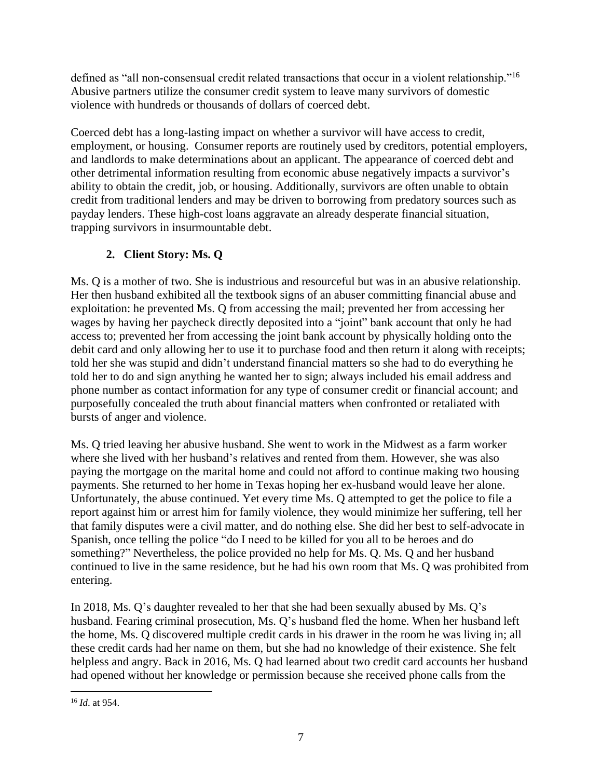defined as "all non-consensual credit related transactions that occur in a violent relationship."<sup>16</sup> Abusive partners utilize the consumer credit system to leave many survivors of domestic violence with hundreds or thousands of dollars of coerced debt.

Coerced debt has a long-lasting impact on whether a survivor will have access to credit, employment, or housing. Consumer reports are routinely used by creditors, potential employers, and landlords to make determinations about an applicant. The appearance of coerced debt and other detrimental information resulting from economic abuse negatively impacts a survivor's ability to obtain the credit, job, or housing. Additionally, survivors are often unable to obtain credit from traditional lenders and may be driven to borrowing from predatory sources such as payday lenders. These high-cost loans aggravate an already desperate financial situation, trapping survivors in insurmountable debt.

# **2. Client Story: Ms. Q**

Ms. Q is a mother of two. She is industrious and resourceful but was in an abusive relationship. Her then husband exhibited all the textbook signs of an abuser committing financial abuse and exploitation: he prevented Ms. Q from accessing the mail; prevented her from accessing her wages by having her paycheck directly deposited into a "joint" bank account that only he had access to; prevented her from accessing the joint bank account by physically holding onto the debit card and only allowing her to use it to purchase food and then return it along with receipts; told her she was stupid and didn't understand financial matters so she had to do everything he told her to do and sign anything he wanted her to sign; always included his email address and phone number as contact information for any type of consumer credit or financial account; and purposefully concealed the truth about financial matters when confronted or retaliated with bursts of anger and violence.

Ms. Q tried leaving her abusive husband. She went to work in the Midwest as a farm worker where she lived with her husband's relatives and rented from them. However, she was also paying the mortgage on the marital home and could not afford to continue making two housing payments. She returned to her home in Texas hoping her ex-husband would leave her alone. Unfortunately, the abuse continued. Yet every time Ms. Q attempted to get the police to file a report against him or arrest him for family violence, they would minimize her suffering, tell her that family disputes were a civil matter, and do nothing else. She did her best to self-advocate in Spanish, once telling the police "do I need to be killed for you all to be heroes and do something?" Nevertheless, the police provided no help for Ms. Q. Ms. Q and her husband continued to live in the same residence, but he had his own room that Ms. Q was prohibited from entering.

In 2018, Ms. Q's daughter revealed to her that she had been sexually abused by Ms. Q's husband. Fearing criminal prosecution, Ms. Q's husband fled the home. When her husband left the home, Ms. Q discovered multiple credit cards in his drawer in the room he was living in; all these credit cards had her name on them, but she had no knowledge of their existence. She felt helpless and angry. Back in 2016, Ms. Q had learned about two credit card accounts her husband had opened without her knowledge or permission because she received phone calls from the

<sup>16</sup> *Id*. at 954.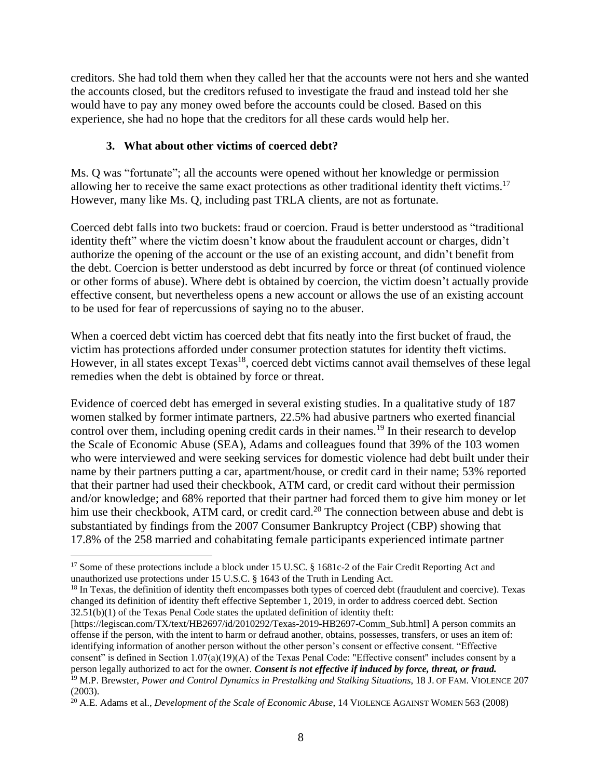creditors. She had told them when they called her that the accounts were not hers and she wanted the accounts closed, but the creditors refused to investigate the fraud and instead told her she would have to pay any money owed before the accounts could be closed. Based on this experience, she had no hope that the creditors for all these cards would help her.

# **3. What about other victims of coerced debt?**

Ms. Q was "fortunate"; all the accounts were opened without her knowledge or permission allowing her to receive the same exact protections as other traditional identity theft victims.<sup>17</sup> However, many like Ms. Q, including past TRLA clients, are not as fortunate.

Coerced debt falls into two buckets: fraud or coercion. Fraud is better understood as "traditional identity theft" where the victim doesn't know about the fraudulent account or charges, didn't authorize the opening of the account or the use of an existing account, and didn't benefit from the debt. Coercion is better understood as debt incurred by force or threat (of continued violence or other forms of abuse). Where debt is obtained by coercion, the victim doesn't actually provide effective consent, but nevertheless opens a new account or allows the use of an existing account to be used for fear of repercussions of saying no to the abuser.

When a coerced debt victim has coerced debt that fits neatly into the first bucket of fraud, the victim has protections afforded under consumer protection statutes for identity theft victims. However, in all states except Texas<sup>18</sup>, coerced debt victims cannot avail themselves of these legal remedies when the debt is obtained by force or threat.

Evidence of coerced debt has emerged in several existing studies. In a qualitative study of 187 women stalked by former intimate partners, 22.5% had abusive partners who exerted financial control over them, including opening credit cards in their names.<sup>19</sup> In their research to develop the Scale of Economic Abuse (SEA), Adams and colleagues found that 39% of the 103 women who were interviewed and were seeking services for domestic violence had debt built under their name by their partners putting a car, apartment/house, or credit card in their name; 53% reported that their partner had used their checkbook, ATM card, or credit card without their permission and/or knowledge; and 68% reported that their partner had forced them to give him money or let him use their checkbook, ATM card, or credit card.<sup>20</sup> The connection between abuse and debt is substantiated by findings from the 2007 Consumer Bankruptcy Project (CBP) showing that 17.8% of the 258 married and cohabitating female participants experienced intimate partner

<sup>&</sup>lt;sup>17</sup> Some of these protections include a block under 15 U.SC. § 1681c-2 of the Fair Credit Reporting Act and unauthorized use protections under 15 U.S.C. § 1643 of the Truth in Lending Act.

<sup>&</sup>lt;sup>18</sup> In Texas, the definition of identity theft encompasses both types of coerced debt (fraudulent and coercive). Texas changed its definition of identity theft effective September 1, 2019, in order to address coerced debt. Section 32.51(b)(1) of the Texas Penal Code states the updated definition of identity theft:

<sup>[</sup>https://legiscan.com/TX/text/HB2697/id/2010292/Texas-2019-HB2697-Comm\_Sub.html] A person commits an offense if the person, with the intent to harm or defraud another, obtains, possesses, transfers, or uses an item of: identifying information of another person without the other person's consent or effective consent. "Effective consent" is defined in Section 1.07(a)(19)(A) of the Texas Penal Code: "Effective consent" includes consent by a person legally authorized to act for the owner. *Consent is not effective if induced by force, threat, or fraud.* <sup>19</sup> M.P. Brewster, *Power and Control Dynamics in Prestalking and Stalking Situations*, 18 J. OF FAM. VIOLENCE 207 (2003).

<sup>20</sup> A.E. Adams et al., *Development of the Scale of Economic Abuse*, 14 VIOLENCE AGAINST WOMEN 563 (2008)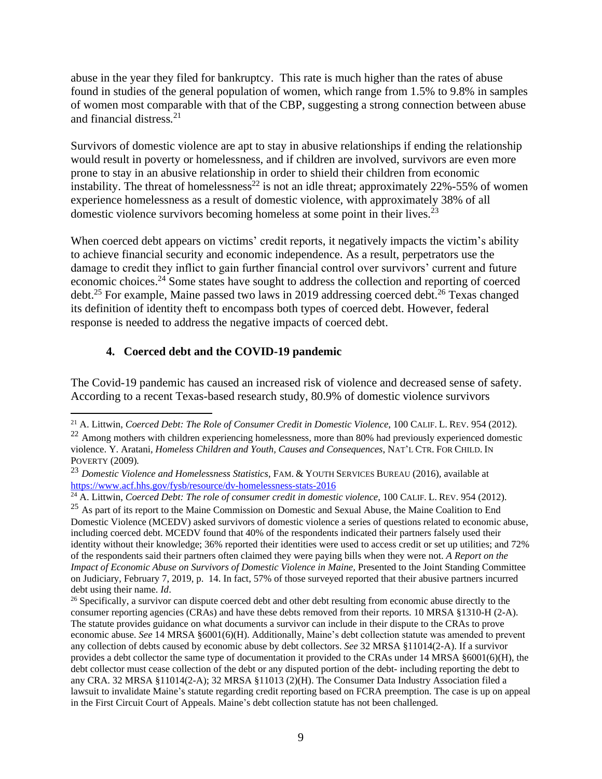abuse in the year they filed for bankruptcy. This rate is much higher than the rates of abuse found in studies of the general population of women, which range from 1.5% to 9.8% in samples of women most comparable with that of the CBP, suggesting a strong connection between abuse and financial distress*.* 21

Survivors of domestic violence are apt to stay in abusive relationships if ending the relationship would result in poverty or homelessness, and if children are involved, survivors are even more prone to stay in an abusive relationship in order to shield their children from economic instability. The threat of homelessness<sup>22</sup> is not an idle threat; approximately  $22\% - 55\%$  of women experience homelessness as a result of domestic violence, with approximately 38% of all domestic violence survivors becoming homeless at some point in their lives.<sup>23</sup>

When coerced debt appears on victims' credit reports, it negatively impacts the victim's ability to achieve financial security and economic independence. As a result, perpetrators use the damage to credit they inflict to gain further financial control over survivors' current and future economic choices.<sup>24</sup> Some states have sought to address the collection and reporting of coerced debt.<sup>25</sup> For example, Maine passed two laws in 2019 addressing coerced debt.<sup>26</sup> Texas changed its definition of identity theft to encompass both types of coerced debt. However, federal response is needed to address the negative impacts of coerced debt.

#### **4. Coerced debt and the COVID-19 pandemic**

The Covid-19 pandemic has caused an increased risk of violence and decreased sense of safety. According to a recent Texas-based research study, 80.9% of domestic violence survivors

<sup>21</sup> A. Littwin, *Coerced Debt: The Role of Consumer Credit in Domestic Violence*, 100 CALIF. L. REV. 954 (2012).

<sup>&</sup>lt;sup>22</sup> Among mothers with children experiencing homelessness, more than 80% had previously experienced domestic violence. Y. Aratani*, Homeless Children and Youth, Causes and Consequences*, NAT'L CTR. FOR CHILD. IN POVERTY (2009)*.*

<sup>23</sup> *Domestic Violence and Homelessness Statistics*, FAM. & YOUTH SERVICES BUREAU (2016), available at <https://www.acf.hhs.gov/fysb/resource/dv-homelessness-stats-2016>

<sup>24</sup> A. Littwin, *Coerced Debt: The role of consumer credit in domestic violence*, 100 CALIF. L. REV. 954 (2012).

<sup>&</sup>lt;sup>25</sup> As part of its report to the Maine Commission on Domestic and Sexual Abuse, the Maine Coalition to End Domestic Violence (MCEDV) asked survivors of domestic violence a series of questions related to economic abuse, including coerced debt. MCEDV found that 40% of the respondents indicated their partners falsely used their identity without their knowledge; 36% reported their identities were used to access credit or set up utilities; and 72% of the respondents said their partners often claimed they were paying bills when they were not. *A Report on the Impact of Economic Abuse on Survivors of Domestic Violence in Maine,* Presented to the Joint Standing Committee on Judiciary, February 7, 2019, p. 14. In fact, 57% of those surveyed reported that their abusive partners incurred debt using their name. *Id*.

<sup>&</sup>lt;sup>26</sup> Specifically, a survivor can dispute coerced debt and other debt resulting from economic abuse directly to the consumer reporting agencies (CRAs) and have these debts removed from their reports. 10 MRSA §1310-H (2-A). The statute provides guidance on what documents a survivor can include in their dispute to the CRAs to prove economic abuse. *See* 14 MRSA §6001(6)(H). Additionally, Maine's debt collection statute was amended to prevent any collection of debts caused by economic abuse by debt collectors. *See* 32 MRSA §11014(2-A). If a survivor provides a debt collector the same type of documentation it provided to the CRAs under 14 MRSA §6001(6)(H), the debt collector must cease collection of the debt or any disputed portion of the debt- including reporting the debt to any CRA. 32 MRSA §11014(2-A); 32 MRSA §11013 (2)(H). The Consumer Data Industry Association filed a lawsuit to invalidate Maine's statute regarding credit reporting based on FCRA preemption. The case is up on appeal in the First Circuit Court of Appeals. Maine's debt collection statute has not been challenged.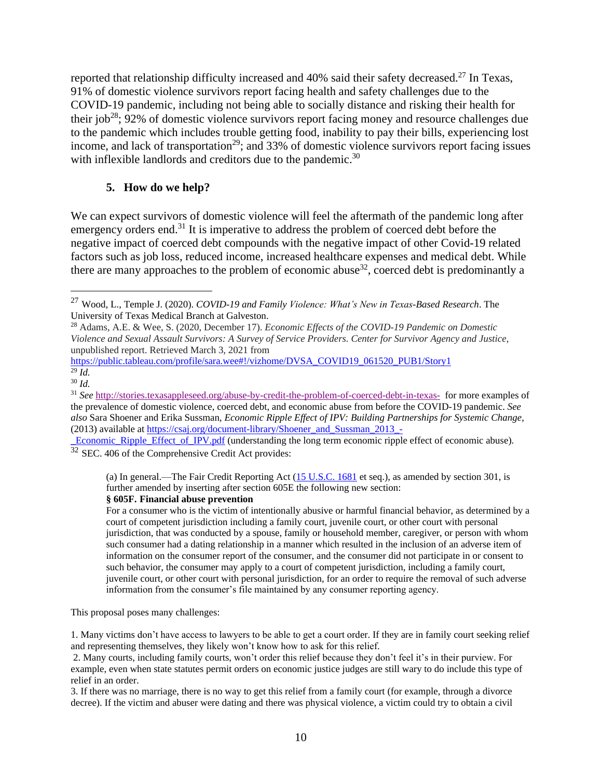reported that relationship difficulty increased and 40% said their safety decreased.<sup>27</sup> In Texas, 91% of domestic violence survivors report facing health and safety challenges due to the COVID-19 pandemic, including not being able to socially distance and risking their health for their job<sup>28</sup>; 92% of domestic violence survivors report facing money and resource challenges due to the pandemic which includes trouble getting food, inability to pay their bills, experiencing lost income, and lack of transportation<sup>29</sup>; and 33% of domestic violence survivors report facing issues with inflexible landlords and creditors due to the pandemic.<sup>30</sup>

#### **5. How do we help?**

We can expect survivors of domestic violence will feel the aftermath of the pandemic long after emergency orders end.<sup>31</sup> It is imperative to address the problem of coerced debt before the negative impact of coerced debt compounds with the negative impact of other Covid-19 related factors such as job loss, reduced income, increased healthcare expenses and medical debt. While there are many approaches to the problem of economic abuse<sup>32</sup>, coerced debt is predominantly a

[https://public.tableau.com/profile/sara.wee#!/vizhome/DVSA\\_COVID19\\_061520\\_PUB1/Story1](https://public.tableau.com/profile/sara.wee#!/vizhome/DVSA_COVID19_061520_PUB1/Story1) <sup>29</sup> *Id.*

(a) In general.—The Fair Credit Reporting Act [\(15 U.S.C. 1681](https://nam04.safelinks.protection.outlook.com/?url=https%3A%2F%2Furldefense.proofpoint.com%2Fv2%2Furl%3Fu%3Dhttp-3A__uscode.house.gov_quicksearch_get.plx-3Ftitle-3D15-26section-3D1681%26d%3DDwMFaQ%26c%3DeuGZstcaTDllvimEN8b7jXrwqOf-v5A_CdpgnVfiiMM%26r%3DBNHsUO1hR828rhaMIJNQ7OJiW6LQfDOFUqDZ3Xomxo0%26m%3D5xwgKOvHRQAbH2F3ht0UFRWAguQVWTLPPOVQ3bsTF3I%26s%3DSKOPo9hjr-_ST7Erq0J1sNqGILAVRY50-2u9Il-20Js%26e%3D&data=04%7C01%7Ccsanchez%40trla.org%7C0efe0d7062594bdfeec808d8de9186f9%7C092cfdafec74436f89ef8b1a845b797f%7C0%7C0%7C637504063910508635%7CUnknown%7CTWFpbGZsb3d8eyJWIjoiMC4wLjAwMDAiLCJQIjoiV2luMzIiLCJBTiI6Ik1haWwiLCJXVCI6Mn0%3D%7C1000&sdata=pNK8hhbydN%2BnjamFKgOEAKxw0iljny%2BZtdcEBPEnuT8%3D&reserved=0) et seq.), as amended by section 301, is further amended by inserting after section 605E the following new section:

#### **§ 605F. Financial abuse prevention**

For a consumer who is the victim of intentionally abusive or harmful financial behavior, as determined by a court of competent jurisdiction including a family court, juvenile court, or other court with personal jurisdiction, that was conducted by a spouse, family or household member, caregiver, or person with whom such consumer had a dating relationship in a manner which resulted in the inclusion of an adverse item of information on the consumer report of the consumer, and the consumer did not participate in or consent to such behavior, the consumer may apply to a court of competent jurisdiction, including a family court, juvenile court, or other court with personal jurisdiction, for an order to require the removal of such adverse information from the consumer's file maintained by any consumer reporting agency.

This proposal poses many challenges:

1. Many victims don't have access to lawyers to be able to get a court order. If they are in family court seeking relief and representing themselves, they likely won't know how to ask for this relief.

3. If there was no marriage, there is no way to get this relief from a family court (for example, through a divorce decree). If the victim and abuser were dating and there was physical violence, a victim could try to obtain a civil

<sup>27</sup> Wood, L., Temple J. (2020). *COVID-19 and Family Violence: What's New in Texas-Based Research*. The University of Texas Medical Branch at Galveston.

<sup>28</sup> Adams, A.E. & Wee, S. (2020, December 17). *Economic Effects of the COVID-19 Pandemic on Domestic Violence and Sexual Assault Survivors: A Survey of Service Providers. Center for Survivor Agency and Justice*, unpublished report. Retrieved March 3, 2021 from

<sup>30</sup> *Id.*

<sup>31</sup> *See* <http://stories.texasappleseed.org/abuse-by-credit-the-problem-of-coerced-debt-in-texas-> for more examples of the prevalence of domestic violence, coerced debt, and economic abuse from before the COVID-19 pandemic. *See also* Sara Shoener and Erika Sussman, *Economic Ripple Effect of IPV: Building Partnerships for Systemic Change*, (2013) available at [https://csaj.org/document-library/Shoener\\_and\\_Sussman\\_2013\\_-](https://csaj.org/document-library/Shoener_and_Sussman_2013_-_Economic_Ripple_Effect_of_IPV.pdf)

[\\_Economic\\_Ripple\\_Effect\\_of\\_IPV.pdf](https://csaj.org/document-library/Shoener_and_Sussman_2013_-_Economic_Ripple_Effect_of_IPV.pdf) (understanding the long term economic ripple effect of economic abuse).  $\frac{32 \text{ SEC}}{32 \text{ SEC}}$ . 406 of the Comprehensive Credit Act provides:

<sup>2.</sup> Many courts, including family courts, won't order this relief because they don't feel it's in their purview. For example, even when state statutes permit orders on economic justice judges are still wary to do include this type of relief in an order.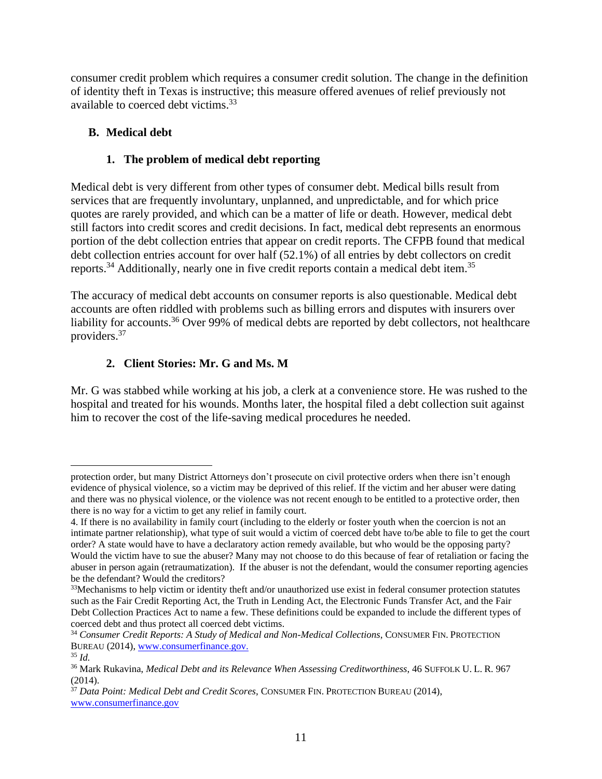consumer credit problem which requires a consumer credit solution. The change in the definition of identity theft in Texas is instructive; this measure offered avenues of relief previously not available to coerced debt victims.<sup>33</sup>

# **B. Medical debt**

# **1. The problem of medical debt reporting**

Medical debt is very different from other types of consumer debt. Medical bills result from services that are frequently involuntary, unplanned, and unpredictable, and for which price quotes are rarely provided, and which can be a matter of life or death. However, medical debt still factors into credit scores and credit decisions. In fact, medical debt represents an enormous portion of the debt collection entries that appear on credit reports. The CFPB found that medical debt collection entries account for over half (52.1%) of all entries by debt collectors on credit reports.<sup>34</sup> Additionally, nearly one in five credit reports contain a medical debt item.<sup>35</sup>

The accuracy of medical debt accounts on consumer reports is also questionable. Medical debt accounts are often riddled with problems such as billing errors and disputes with insurers over liability for accounts.<sup>36</sup> Over 99% of medical debts are reported by debt collectors, not healthcare providers.<sup>37</sup>

# **2. Client Stories: Mr. G and Ms. M**

Mr. G was stabbed while working at his job, a clerk at a convenience store. He was rushed to the hospital and treated for his wounds. Months later, the hospital filed a debt collection suit against him to recover the cost of the life-saving medical procedures he needed.

protection order, but many District Attorneys don't prosecute on civil protective orders when there isn't enough evidence of physical violence, so a victim may be deprived of this relief. If the victim and her abuser were dating and there was no physical violence, or the violence was not recent enough to be entitled to a protective order, then there is no way for a victim to get any relief in family court.

<sup>4.</sup> If there is no availability in family court (including to the elderly or foster youth when the coercion is not an intimate partner relationship), what type of suit would a victim of coerced debt have to/be able to file to get the court order? A state would have to have a declaratory action remedy available, but who would be the opposing party? Would the victim have to sue the abuser? Many may not choose to do this because of fear of retaliation or facing the abuser in person again (retraumatization). If the abuser is not the defendant, would the consumer reporting agencies be the defendant? Would the creditors?

 $33$ Mechanisms to help victim or identity theft and/or unauthorized use exist in federal consumer protection statutes such as the Fair Credit Reporting Act, the Truth in Lending Act, the Electronic Funds Transfer Act, and the Fair Debt Collection Practices Act to name a few. These definitions could be expanded to include the different types of coerced debt and thus protect all coerced debt victims.

<sup>34</sup> *Consumer Credit Reports: A Study of Medical and Non-Medical Collections*, CONSUMER FIN. PROTECTION BUREAU (2014), [www.consumerfinance.gov.](http://www.consumerfinance.gov/)

 $35$  *Id.* 

<sup>36</sup> Mark Rukavina, *Medical Debt and its Relevance When Assessing Creditworthiness*, 46 SUFFOLK U. L. R. 967 (2014).

<sup>37</sup> *Data Point: Medical Debt and Credit Scores*, CONSUMER FIN. PROTECTION BUREAU (2014), [www.consumerfinance.gov](http://www.consumerfinance.gov/)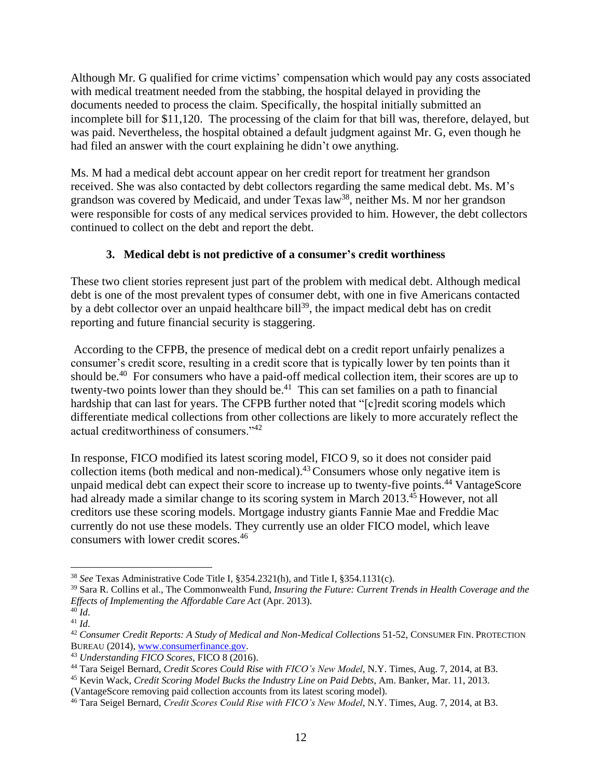Although Mr. G qualified for crime victims' compensation which would pay any costs associated with medical treatment needed from the stabbing, the hospital delayed in providing the documents needed to process the claim. Specifically, the hospital initially submitted an incomplete bill for \$11,120. The processing of the claim for that bill was, therefore, delayed, but was paid. Nevertheless, the hospital obtained a default judgment against Mr. G, even though he had filed an answer with the court explaining he didn't owe anything.

Ms. M had a medical debt account appear on her credit report for treatment her grandson received. She was also contacted by debt collectors regarding the same medical debt. Ms. M's grandson was covered by Medicaid, and under Texas law<sup>38</sup>, neither Ms. M nor her grandson were responsible for costs of any medical services provided to him. However, the debt collectors continued to collect on the debt and report the debt.

# **3. Medical debt is not predictive of a consumer's credit worthiness**

These two client stories represent just part of the problem with medical debt. Although medical debt is one of the most prevalent types of consumer debt, with one in five Americans contacted by a debt collector over an unpaid healthcare bill<sup>39</sup>, the impact medical debt has on credit reporting and future financial security is staggering.

According to the CFPB, the presence of medical debt on a credit report unfairly penalizes a consumer's credit score, resulting in a credit score that is typically lower by ten points than it should be.<sup>40</sup> For consumers who have a paid-off medical collection item, their scores are up to twenty-two points lower than they should be.<sup>41</sup> This can set families on a path to financial hardship that can last for years. The CFPB further noted that "[c]redit scoring models which differentiate medical collections from other collections are likely to more accurately reflect the actual creditworthiness of consumers."<sup>42</sup>

In response, FICO modified its latest scoring model, FICO 9, so it does not consider paid collection items (both medical and non-medical).<sup>43</sup> Consumers whose only negative item is unpaid medical debt can expect their score to increase up to twenty-five points. <sup>44</sup> VantageScore had already made a similar change to its scoring system in March 2013.<sup>45</sup> However, not all creditors use these scoring models. Mortgage industry giants Fannie Mae and Freddie Mac currently do not use these models. They currently use an older FICO model, which leave consumers with lower credit scores.<sup>46</sup>

<sup>38</sup> *See* Texas Administrative Code Title I, §354.2321(h), and Title I, §354.1131(c).

<sup>39</sup> Sara R. Collins et al., The Commonwealth Fund, *Insuring the Future: Current Trends in Health Coverage and the Effects of Implementing the Affordable Care Act* (Apr. 2013).

 $^{40}$  *Id.* 

<sup>41</sup> *Id*.

<sup>42</sup> *Consumer Credit Reports: A Study of Medical and Non-Medical Collections* 51-52, CONSUMER FIN. PROTECTION BUREAU (2014), [www.consumerfinance.gov.](http://www.consumerfinance.gov/)

<sup>43</sup> *Understanding FICO Scores*, FICO 8 (2016).

<sup>44</sup> Tara Seigel Bernard, *Credit Scores Could Rise with FICO's New Model*, N.Y. Times, Aug. 7, 2014, at B3.

<sup>45</sup> Kevin Wack, *Credit Scoring Model Bucks the Industry Line on Paid Debts*, Am. Banker, Mar. 11, 2013. (VantageScore removing paid collection accounts from its latest scoring model).

<sup>46</sup> Tara Seigel Bernard, *Credit Scores Could Rise with FICO's New Model*, N.Y. Times, Aug. 7, 2014, at B3.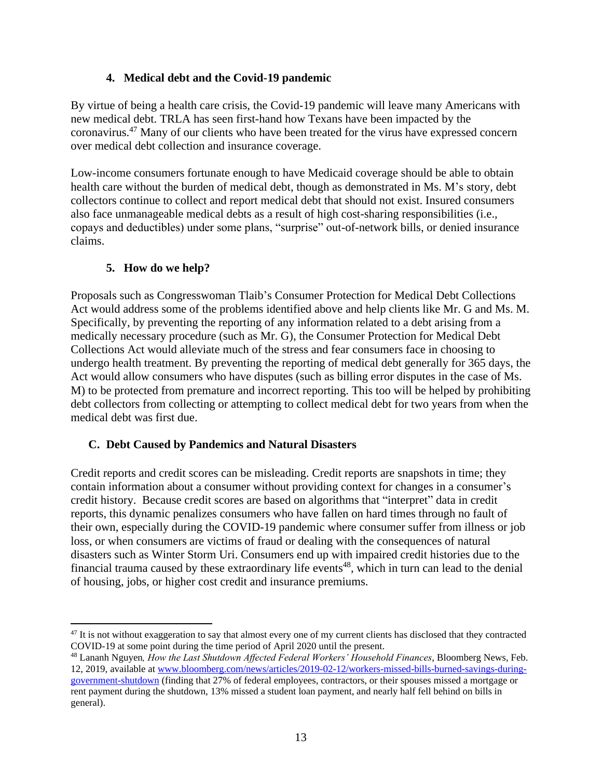# **4. Medical debt and the Covid-19 pandemic**

By virtue of being a health care crisis, the Covid-19 pandemic will leave many Americans with new medical debt. TRLA has seen first-hand how Texans have been impacted by the coronavirus.<sup>47</sup> Many of our clients who have been treated for the virus have expressed concern over medical debt collection and insurance coverage.

Low-income consumers fortunate enough to have Medicaid coverage should be able to obtain health care without the burden of medical debt, though as demonstrated in Ms. M's story, debt collectors continue to collect and report medical debt that should not exist. Insured consumers also face unmanageable medical debts as a result of high cost-sharing responsibilities (i.e., copays and deductibles) under some plans, "surprise" out-of-network bills, or denied insurance claims.

# **5. How do we help?**

Proposals such as Congresswoman Tlaib's Consumer Protection for Medical Debt Collections Act would address some of the problems identified above and help clients like Mr. G and Ms. M. Specifically, by preventing the reporting of any information related to a debt arising from a medically necessary procedure (such as Mr. G), the Consumer Protection for Medical Debt Collections Act would alleviate much of the stress and fear consumers face in choosing to undergo health treatment. By preventing the reporting of medical debt generally for 365 days, the Act would allow consumers who have disputes (such as billing error disputes in the case of Ms. M) to be protected from premature and incorrect reporting. This too will be helped by prohibiting debt collectors from collecting or attempting to collect medical debt for two years from when the medical debt was first due.

#### **C. Debt Caused by Pandemics and Natural Disasters**

Credit reports and credit scores can be misleading. Credit reports are snapshots in time; they contain information about a consumer without providing context for changes in a consumer's credit history. Because credit scores are based on algorithms that "interpret" data in credit reports, this dynamic penalizes consumers who have fallen on hard times through no fault of their own, especially during the COVID-19 pandemic where consumer suffer from illness or job loss, or when consumers are victims of fraud or dealing with the consequences of natural disasters such as Winter Storm Uri. Consumers end up with impaired credit histories due to the financial trauma caused by these extraordinary life events<sup>48</sup>, which in turn can lead to the denial of housing, jobs, or higher cost credit and insurance premiums.

<sup>&</sup>lt;sup>47</sup> It is not without exaggeration to say that almost every one of my current clients has disclosed that they contracted COVID-19 at some point during the time period of April 2020 until the present.

<sup>48</sup> Lananh Nguyen*, How the Last Shutdown Affected Federal Workers' Household Finances*, Bloomberg News, Feb. 12, 2019, available at [www.bloomberg.com/news/articles/2019-02-12/workers-missed-bills-burned-savings-during](http://www.bloomberg.com/news/articles/2019-02-12/workers-missed-bills-burned-savings-during-government-shutdown)[government-shutdown](http://www.bloomberg.com/news/articles/2019-02-12/workers-missed-bills-burned-savings-during-government-shutdown) (finding that 27% of federal employees, contractors, or their spouses missed a mortgage or

rent payment during the shutdown, 13% missed a student loan payment, and nearly half fell behind on bills in general).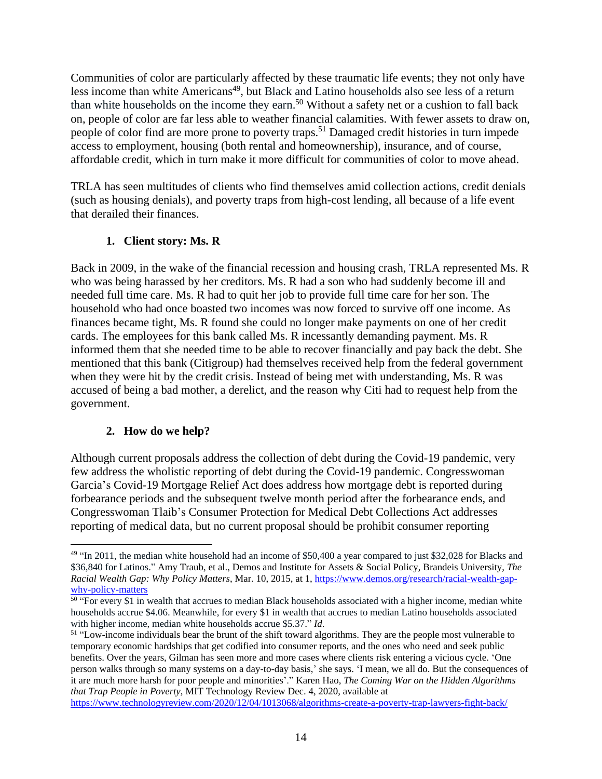Communities of color are particularly affected by these traumatic life events; they not only have less income than white Americans<sup>49</sup>, but Black and Latino households also see less of a return than white households on the income they earn.<sup>50</sup> Without a safety net or a cushion to fall back on, people of color are far less able to weather financial calamities. With fewer assets to draw on, people of color find are more prone to poverty traps.<sup>51</sup> Damaged credit histories in turn impede access to employment, housing (both rental and homeownership), insurance, and of course, affordable credit, which in turn make it more difficult for communities of color to move ahead.

TRLA has seen multitudes of clients who find themselves amid collection actions, credit denials (such as housing denials), and poverty traps from high-cost lending, all because of a life event that derailed their finances.

# **1. Client story: Ms. R**

Back in 2009, in the wake of the financial recession and housing crash, TRLA represented Ms. R who was being harassed by her creditors. Ms. R had a son who had suddenly become ill and needed full time care. Ms. R had to quit her job to provide full time care for her son. The household who had once boasted two incomes was now forced to survive off one income. As finances became tight, Ms. R found she could no longer make payments on one of her credit cards. The employees for this bank called Ms. R incessantly demanding payment. Ms. R informed them that she needed time to be able to recover financially and pay back the debt. She mentioned that this bank (Citigroup) had themselves received help from the federal government when they were hit by the credit crisis. Instead of being met with understanding, Ms. R was accused of being a bad mother, a derelict, and the reason why Citi had to request help from the government.

#### **2. How do we help?**

Although current proposals address the collection of debt during the Covid-19 pandemic, very few address the wholistic reporting of debt during the Covid-19 pandemic. Congresswoman Garcia's Covid-19 Mortgage Relief Act does address how mortgage debt is reported during forbearance periods and the subsequent twelve month period after the forbearance ends, and Congresswoman Tlaib's Consumer Protection for Medical Debt Collections Act addresses reporting of medical data, but no current proposal should be prohibit consumer reporting

<sup>&</sup>lt;sup>49</sup> "In 2011, the median white household had an income of \$50,400 a year compared to just \$32,028 for Blacks and \$36,840 for Latinos." Amy Traub, et al., Demos and Institute for Assets & Social Policy, Brandeis University, *The Racial Wealth Gap: Why Policy Matters*, Mar. 10, 2015, at 1, [https://www.demos.org/research/racial-wealth-gap](https://www.demos.org/research/racial-wealth-gap-why-policy-matters)[why-policy-matters](https://www.demos.org/research/racial-wealth-gap-why-policy-matters)

<sup>&</sup>lt;sup>50</sup> "For every \$1 in wealth that accrues to median Black households associated with a higher income, median white households accrue \$4.06. Meanwhile, for every \$1 in wealth that accrues to median Latino households associated with higher income, median white households accrue \$5.37." *Id*.

 $51$  "Low-income individuals bear the brunt of the shift toward algorithms. They are the people most vulnerable to temporary economic hardships that get codified into consumer reports, and the ones who need and seek public benefits. Over the years, Gilman has seen more and more cases where clients risk entering a vicious cycle. 'One person walks through so many systems on a day-to-day basis,' she says. 'I mean, we all do. But the consequences of it are much more harsh for poor people and minorities'." Karen Hao, *The Coming War on the Hidden Algorithms that Trap People in Poverty*, MIT Technology Review Dec. 4, 2020, available at

<https://www.technologyreview.com/2020/12/04/1013068/algorithms-create-a-poverty-trap-lawyers-fight-back/>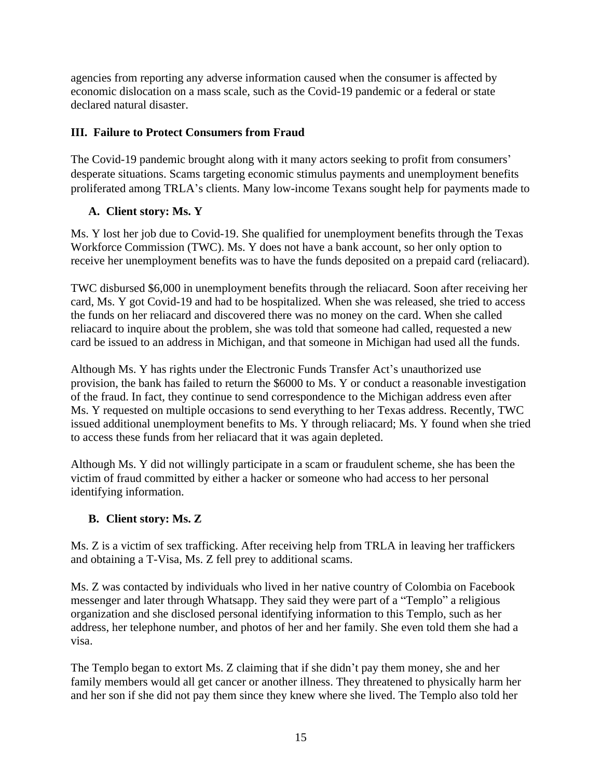agencies from reporting any adverse information caused when the consumer is affected by economic dislocation on a mass scale, such as the Covid-19 pandemic or a federal or state declared natural disaster.

# **III. Failure to Protect Consumers from Fraud**

The Covid-19 pandemic brought along with it many actors seeking to profit from consumers' desperate situations. Scams targeting economic stimulus payments and unemployment benefits proliferated among TRLA's clients. Many low-income Texans sought help for payments made to

# **A. Client story: Ms. Y**

Ms. Y lost her job due to Covid-19. She qualified for unemployment benefits through the Texas Workforce Commission (TWC). Ms. Y does not have a bank account, so her only option to receive her unemployment benefits was to have the funds deposited on a prepaid card (reliacard).

TWC disbursed \$6,000 in unemployment benefits through the reliacard. Soon after receiving her card, Ms. Y got Covid-19 and had to be hospitalized. When she was released, she tried to access the funds on her reliacard and discovered there was no money on the card. When she called reliacard to inquire about the problem, she was told that someone had called, requested a new card be issued to an address in Michigan, and that someone in Michigan had used all the funds.

Although Ms. Y has rights under the Electronic Funds Transfer Act's unauthorized use provision, the bank has failed to return the \$6000 to Ms. Y or conduct a reasonable investigation of the fraud. In fact, they continue to send correspondence to the Michigan address even after Ms. Y requested on multiple occasions to send everything to her Texas address. Recently, TWC issued additional unemployment benefits to Ms. Y through reliacard; Ms. Y found when she tried to access these funds from her reliacard that it was again depleted.

Although Ms. Y did not willingly participate in a scam or fraudulent scheme, she has been the victim of fraud committed by either a hacker or someone who had access to her personal identifying information.

#### **B. Client story: Ms. Z**

Ms. Z is a victim of sex trafficking. After receiving help from TRLA in leaving her traffickers and obtaining a T-Visa, Ms. Z fell prey to additional scams.

Ms. Z was contacted by individuals who lived in her native country of Colombia on Facebook messenger and later through Whatsapp. They said they were part of a "Templo" a religious organization and she disclosed personal identifying information to this Templo, such as her address, her telephone number, and photos of her and her family. She even told them she had a visa.

The Templo began to extort Ms. Z claiming that if she didn't pay them money, she and her family members would all get cancer or another illness. They threatened to physically harm her and her son if she did not pay them since they knew where she lived. The Templo also told her